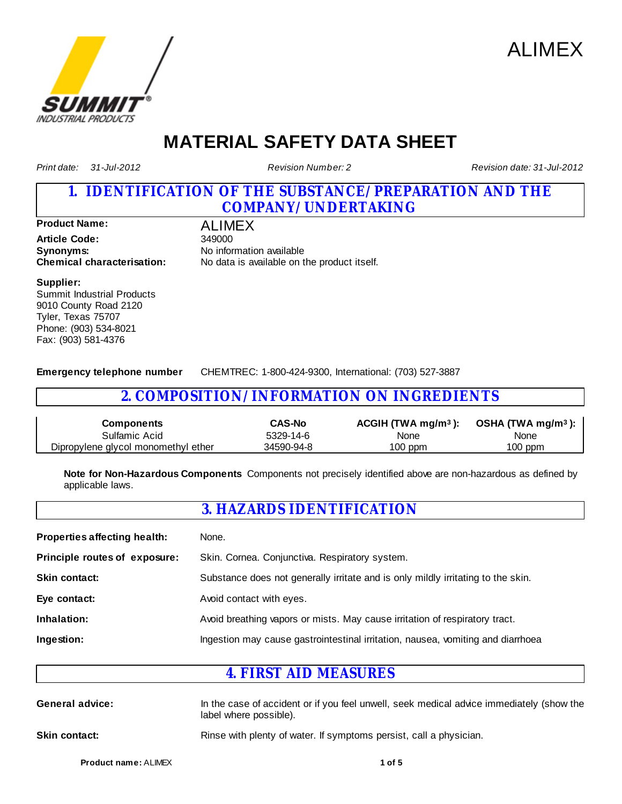



# **MATERIAL SAFETY DATA SHEET**

*Print date: 31-Jul-2012*

*Revision Number: 2*

*Revision date: 31-Jul-2012*

### **1. IDENTIFICATION OF THE SUBSTANCE/PREPARATION AND THE COMPANY/UNDERTAKING**

**Product Name:** ALIMEX

**Article Code:** 349000 **Synonyms:** No information available

**Chemical characterisation:** No data is available on the product itself.

#### **Supplier:**

Summit Industrial Products 9010 County Road 2120 Tyler, Texas 75707 Phone: (903) 534-8021 Fax: (903) 581-4376

**Emergency telephone number** CHEMTREC: 1-800-424-9300, International: (703) 527-3887

### **2. COMPOSITION/INFORMATION ON INGREDIENTS**

| <b>Components</b>                   | <b>CAS-No</b> | $ACGH$ (TWA mg/m <sup>3</sup> ): $OSHA$ (TWA mg/m <sup>3</sup> ): |           |
|-------------------------------------|---------------|-------------------------------------------------------------------|-----------|
| Sulfamic Acid                       | 5329-14-6     | None                                                              | None      |
| Dipropylene glycol monomethyl ether | 34590-94-8    | $100$ ppm                                                         | $100$ ppm |

**Note for Non-Hazardous Components** Components not precisely identified above are non-hazardous as defined by applicable laws.

### **3. HAZARDS IDENTIFICATION**

| <b>Properties affecting health:</b> | None.                                                                            |
|-------------------------------------|----------------------------------------------------------------------------------|
| Principle routes of exposure:       | Skin. Cornea. Conjunctiva. Respiratory system.                                   |
| <b>Skin contact:</b>                | Substance does not generally irritate and is only mildly irritating to the skin. |
| Eye contact:                        | Avoid contact with eyes.                                                         |
| Inhalation:                         | Avoid breathing vapors or mists. May cause irritation of respiratory tract.      |
| Ingestion:                          | Ingestion may cause gastrointestinal irritation, nausea, vomiting and diarrhoea  |

**4. FIRST AID MEASURES**

| <b>General advice:</b> | In the case of accident or if you feel unwell, seek medical advice immediately (show the<br>label where possible). |
|------------------------|--------------------------------------------------------------------------------------------------------------------|
| <b>Skin contact:</b>   | Rinse with plenty of water. If symptoms persist, call a physician.                                                 |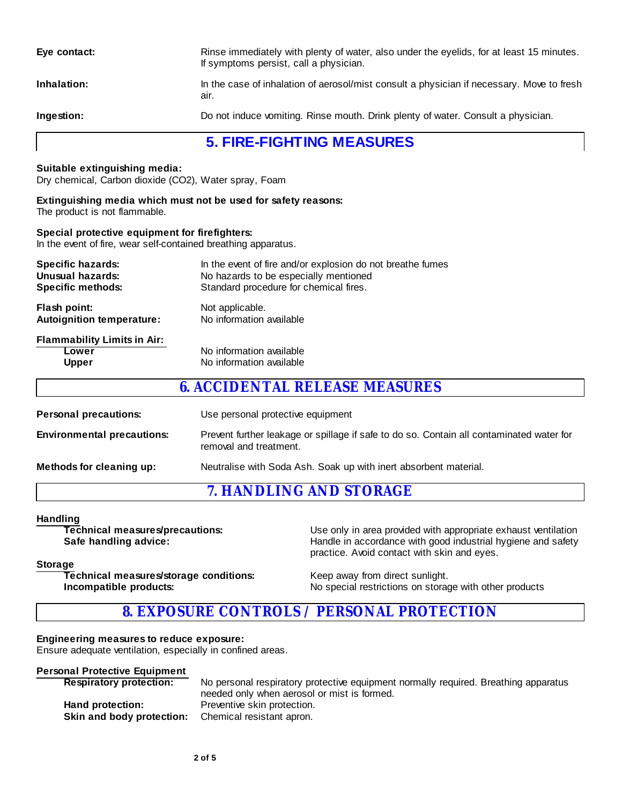| Eye contact:                     | Rinse immediately with plenty of water, also under the eyelids, for at least 15 minutes.<br>If symptoms persist, call a physician. |  |  |
|----------------------------------|------------------------------------------------------------------------------------------------------------------------------------|--|--|
| Inhalation:                      | In the case of inhalation of aerosol/mist consult a physician if necessary. Move to fresh<br>air.                                  |  |  |
| Ingestion:                       | Do not induce vomiting. Rinse mouth. Drink plenty of water. Consult a physician.                                                   |  |  |
| <b>5. FIRE-FIGHTING MEASURES</b> |                                                                                                                                    |  |  |
| Suitable extinguishing media:    | December 10 set and directed (000) Website company France                                                                          |  |  |

Dry chemical, Carbon dioxide (CO2), Water spray, Foam

### **Extinguishing media which must not be used for safety reasons:** The product is not flammable.

**Special protective equipment for firefighters:**

In the event of fire, wear self-contained breathing apparatus.

| <b>Specific hazards:</b>                                    | In the event of fire and/or explosion do not breathe fumes |
|-------------------------------------------------------------|------------------------------------------------------------|
| Unusual hazards:                                            | No hazards to be especially mentioned                      |
| <b>Specific methods:</b>                                    | Standard procedure for chemical fires.                     |
| Flash point:                                                | Not applicable.                                            |
| <b>Autoignition temperature:</b>                            | No information available                                   |
| <b>Flammability Limits in Air:</b><br>Lower<br><b>Upper</b> | No information available<br>No information available       |

# **6. ACCIDENTAL RELEASE MEASURES Personal precautions:** Use personal protective equipment **Environmental precautions:** Prevent further leakage or spillage if safe to do so. Contain all contaminated water for removal and treatment. **Methods for cleaning up:** Neutralise with Soda Ash. Soak up with inert absorbent material.

**7. HANDLING AND STORAGE**

### **Handling**

| Technical measures/precautions:<br>Safe handling advice:                    | Use only in area provided with appropriate exhaust ventilation<br>Handle in accordance with good industrial hygiene and safety<br>practice. Avoid contact with skin and eyes. |
|-----------------------------------------------------------------------------|-------------------------------------------------------------------------------------------------------------------------------------------------------------------------------|
| Storage<br>Technical measures/storage conditions:<br>Incompatible products: | Keep away from direct sunlight.<br>No special restrictions on storage with other products                                                                                     |

## **8. EXPOSURE CONTROLS / PERSONAL PROTECTION**

### **Engineering measures to reduce exposure:**

Ensure adequate ventilation, especially in confined areas.

### **Personal Protective Equipment**

| <b>Respiratory protection:</b> | No personal respiratory protective equipment normally required. Breathing apparatus |
|--------------------------------|-------------------------------------------------------------------------------------|
|                                | needed only when aerosol or mist is formed.                                         |
| <b>Hand protection:</b>        | Preventive skin protection.                                                         |
| Skin and body protection:      | Chemical resistant apron.                                                           |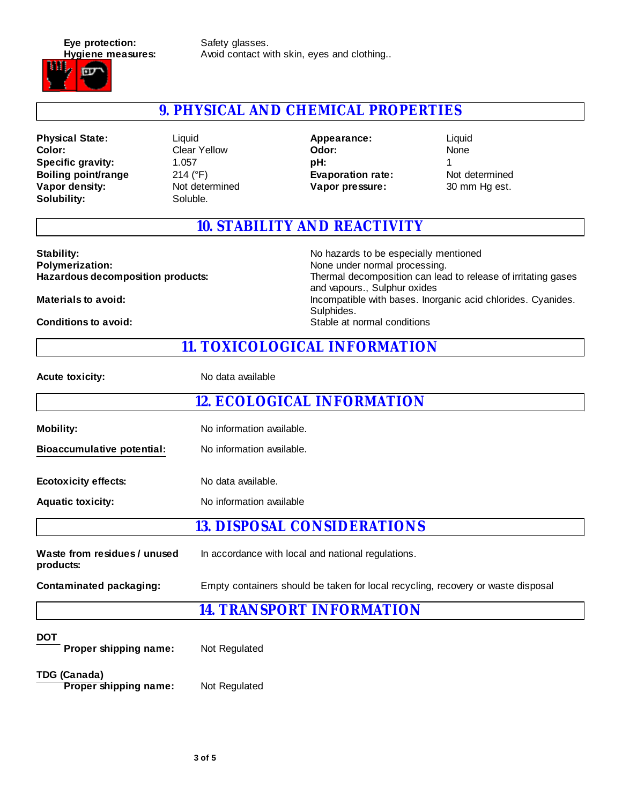**Eye protection:** Safety glasses.



**Hygiene measures:** Avoid contact with skin, eyes and clothing..

## **9. PHYSICAL AND CHEMICAL PROPERTIES**

**Boiling point/range** 214 (°F) **Color: Vapor density:** Not determined **Physical State:** Solubility: Soluble. **Specific gravity:** 1.057

Liquid Clear Yellow **pH:** 1 **Evaporation rate:** Not determined **Vapor pressure:** 30 mm Hg est. **Odor: Appearance:**

Liquid None

**10. STABILITY AND REACTIVITY**

**Stability:** No hazards to be especially mentioned **Polymerization:** None under normal processing.

**Hazardous decomposition products:** Thermal decomposition can lead to release of irritating gases and vapours., Sulphur oxides **Materials to avoid: Materials to avoid:** Incompatible with bases. Inorganic acid chlorides. Cyanides. Sulphides. **Conditions to avoid:**  $\qquad \qquad$  Stable at normal conditions

### **11. TOXICOLOGICAL INFORMATION**

| <b>Acute toxicity:</b>                              | No data available                                                                |  |  |  |
|-----------------------------------------------------|----------------------------------------------------------------------------------|--|--|--|
|                                                     | <b>12. ECOLOGICAL INFORMATION</b>                                                |  |  |  |
| <b>Mobility:</b>                                    | No information available.                                                        |  |  |  |
| <b>Bioaccumulative potential:</b>                   | No information available.                                                        |  |  |  |
| <b>Ecotoxicity effects:</b>                         | No data available.                                                               |  |  |  |
| <b>Aquatic toxicity:</b>                            | No information available                                                         |  |  |  |
|                                                     | 13. DISPOSAL CONSIDERATIONS                                                      |  |  |  |
| Waste from residues / unused<br>products:           | In accordance with local and national regulations.                               |  |  |  |
| Contaminated packaging:                             | Empty containers should be taken for local recycling, recovery or waste disposal |  |  |  |
|                                                     | 14. TRANSPORT INFORMATION                                                        |  |  |  |
| <b>DOT</b><br>Proper shipping name:                 | Not Regulated                                                                    |  |  |  |
| <b>TDG (Canada)</b><br><b>Proper shipping name:</b> | Not Regulated                                                                    |  |  |  |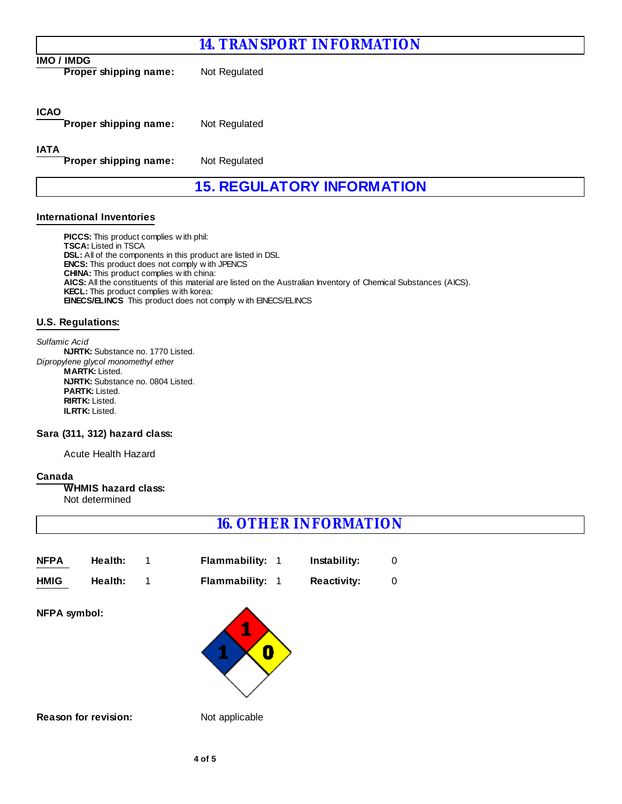# **14. TRANSPORT INFORMATION IMO / IMDG Proper shipping name:** Not Regulated **ICAO Proper shipping name:** Not Regulated **IATA Proper shipping name:** Not Regulated

### **15. REGULATORY INFORMATION**

#### **International Inventories**

**PICCS:** This product complies w ith phil: **TSCA:** Listed in TSCA **DSL:** All of the components in this product are listed in DSL **ENCS:** This product does not comply w ith JPENCS **CHINA:** This product complies w ith china: **AICS:** All the constituents of this material are listed on the Australian Inventory of Chemical Substances (AICS). **KECL:** This product complies w ith korea: **EINECS/ELINCS** This product does not comply w ith EINECS/ELINCS

### **U.S. Regulations:**

#### *Sulfamic Acid*

*Dipropylene glycol monomethyl ether* **PARTK:** Listed. **RIRTK:** Listed. **NJRTK:** Substance no. 1770 Listed. **ILRTK:** Listed. **MARTK:** Listed. **NJRTK:** Substance no. 0804 Listed.

### **Sara (311, 312) hazard class:**

Acute Health Hazard

#### **Canada**

**WHMIS hazard class:**

Not determined

## **16. OTHER INFORMATION**

| <b>NFPA</b>         | Health:                     | 1 | <b>Flammability: 1</b><br>Instability: | 0 |
|---------------------|-----------------------------|---|----------------------------------------|---|
| <b>HMIG</b>         | Health:                     | 1 | Flammability: 1<br><b>Reactivity:</b>  | 0 |
| <b>NFPA symbol:</b> |                             |   |                                        |   |
|                     | <b>Reason for revision:</b> |   | Not applicable                         |   |